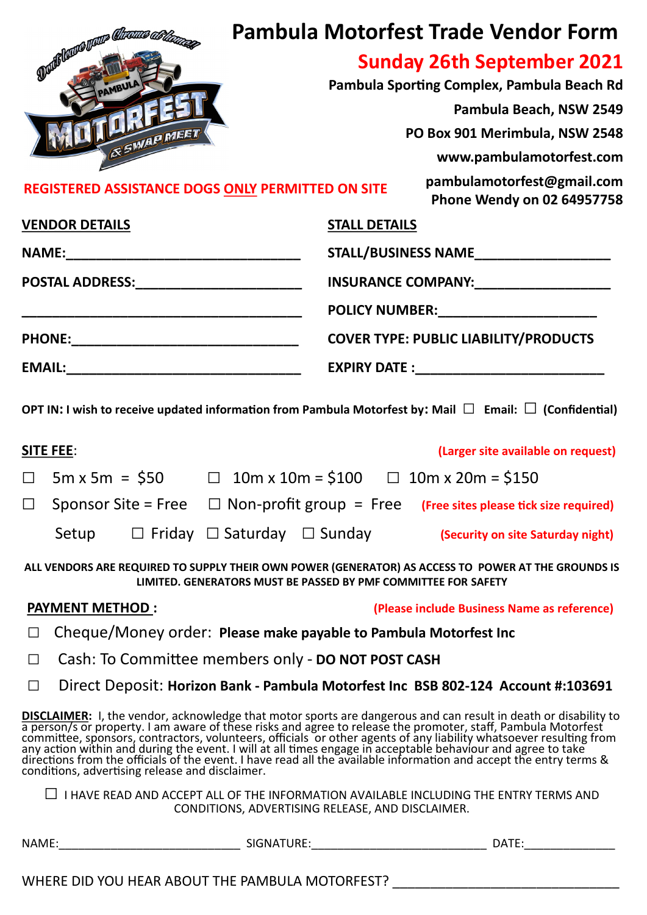|                                                   |                      | <b>Pambula Motorfest Trade Vendor Form</b>               |  |
|---------------------------------------------------|----------------------|----------------------------------------------------------|--|
| Duille Rance Value Chronice ablen.                |                      | <b>Sunday 26th September 2021</b>                        |  |
| AMBULA                                            |                      | Pambula Sporting Complex, Pambula Beach Rd               |  |
| & SWAP MEET                                       |                      | Pambula Beach, NSW 2549                                  |  |
|                                                   |                      | PO Box 901 Merimbula, NSW 2548                           |  |
|                                                   |                      | www.pambulamotorfest.com                                 |  |
| REGISTERED ASSISTANCE DOGS ONLY PERMITTED ON SITE |                      | pambulamotorfest@gmail.com<br>Phone Wendy on 02 64957758 |  |
| <b>VENDOR DETAILS</b>                             | <b>STALL DETAILS</b> |                                                          |  |
|                                                   |                      | STALL/BUSINESS NAME                                      |  |
| POSTAL ADDRESS:__________________________         |                      | INSURANCE COMPANY:                                       |  |
|                                                   |                      |                                                          |  |
| <b>PHONE:</b>                                     |                      | <b>COVER TYPE: PUBLIC LIABILITY/PRODUCTS</b>             |  |
| <b>EMAIL:</b>                                     | <b>EXPIRY DATE:</b>  |                                                          |  |

**OPT IN: I wish to receive updated information from Pambula Motorfest by: Mail □ Email: □ (Confidential)**

| <b>SITE FEE:</b>      |                                             |  | (Larger site available on request)                                                               |
|-----------------------|---------------------------------------------|--|--------------------------------------------------------------------------------------------------|
| $\Box$ 5m x 5m = \$50 |                                             |  | $\Box$ 10m x 10m = \$100 $\Box$ 10m x 20m = \$150                                                |
|                       |                                             |  | $\Box$ Sponsor Site = Free $\Box$ Non-profit group = Free (Free sites please tick size required) |
| Setup                 | $\Box$ Friday $\Box$ Saturday $\Box$ Sunday |  | (Security on site Saturday night)                                                                |

**ALL VENDORS ARE REQUIRED TO SUPPLY THEIR OWN POWER (GENERATOR) AS ACCESS TO POWER AT THE GROUNDS IS LIMITED. GENERATORS MUST BE PASSED BY PMF COMMITTEE FOR SAFETY**

**PAYMENT METHOD : (Please include Business Name as reference)**

- □ Cheque/Money order: **Please make payable to Pambula Motorfest Inc**
- □ Cash: To Committee members only **DO NOT POST CASH**
- □ Direct Deposit: **Horizon Bank - Pambula Motorfest Inc BSB 802-124 Account #:103691**

**DISCLAIMER:** I, the vendor, acknowledge that motor sports are dangerous and can result in death or disability to a person/s or property. I am aware of these risks and agree to release the promoter, staff, Pambula Motorfest committee, sponsors, contractors, volunteers, officials or other agents of any liability whatsoever resulting from any action within and during the event. I will at all times engage in acceptable behaviour and agree to take directions from the officials of the event. I have read all the available information and accept the entry terms & conditions, advertising release and disclaimer.

 $\Box$  I HAVE READ AND ACCEPT ALL OF THE INFORMATION AVAILABLE INCLUDING THE ENTRY TERMS AND CONDITIONS, ADVERTISING RELEASE, AND DISCLAIMER.

| <b>NAN</b><br>________________ | ________________ |  |
|--------------------------------|------------------|--|
|                                |                  |  |

WHERE DID YOU HEAR ABOUT THE PAMBULA MOTORFEST?